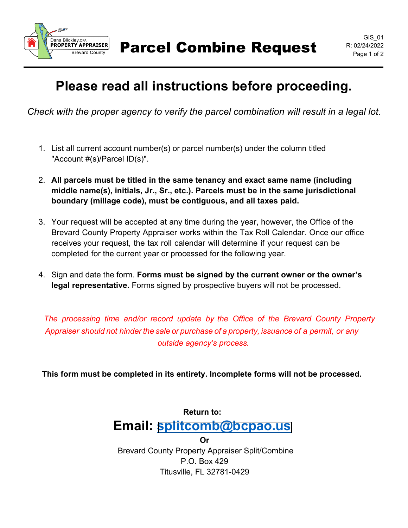

Parcel Combine Request R: 02/24/2022

## **Please read all instructions before proceeding.**

 *Check with the proper agency to verify the parcel combination will result in a legal lot.* 

- 1. List all current account number(s) or parcel number(s) under the column titled "Account #(s)/Parcel ID(s)".
- 2. **All parcels must be titled in the same tenancy and exact same name (including middle name(s), initials, Jr., Sr., etc.). Parcels must be in the same jurisdictional boundary (millage code), must be contiguous, and all taxes paid.**
- 3. Your request will be accepted at any time during the year, however, the Office of the Brevard County Property Appraiser works within the Tax Roll Calendar. Once our office receives your request, the tax roll calendar will determine if your request can be completed for the current year or processed for the following year.
- 4. Sign and date the form. **Forms must be signed by the current owner or the owner's legal representative.** Forms signed by prospective buyers will not be processed.

*The processing time and/or record update by the Office of the Brevard County Property Appraiser should not hinder the sale or purchase of a property, issuance of a permit, or any outside agency's process.*

 **This form must be completed in its entirety. Incomplete forms will not be processed.**

### **Return to: Email: [splitcomb@bcpao.us](mailto:splitcomb@bcpao.us) Or**

Brevard County Property Appraiser Split/Combine P.O. Box 429 Titusville, FL 32781-0429